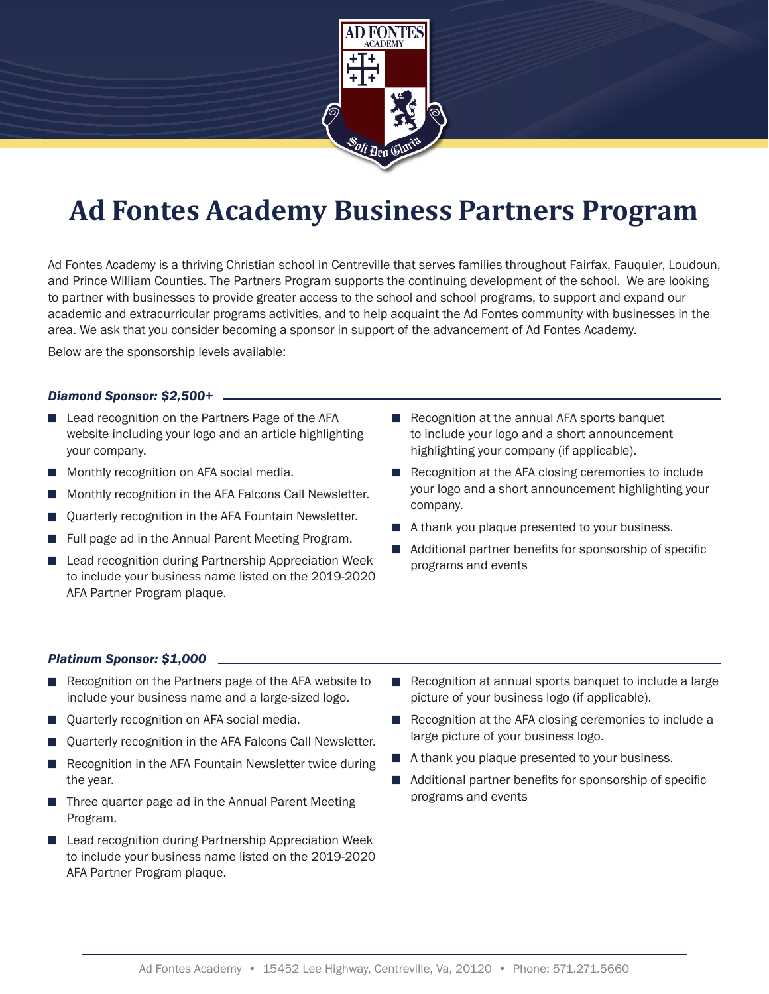

# **Ad Fontes Academy Business Partners Program**

Ad Fontes Academy is a thriving Christian school in Centreville that serves families throughout Fairfax, Fauquier, Loudoun, and Prince William Counties. The Partners Program supports the continuing development of the school. We are looking to partner with businesses to provide greater access to the school and school programs, to support and expand our academic and extracurricular programs activities, and to help acquaint the Ad Fontes community with businesses in the area. We ask that you consider becoming a sponsor in support of the advancement of Ad Fontes Academy.

Below are the sponsorship levels available:

# *Diamond Sponsor: \$2,500+*

- Lead recognition on the Partners Page of the AFA website including your logo and an article highlighting your company.
- $\blacksquare$  Monthly recognition on AFA social media.
- <sup>n</sup> Monthly recognition in the AFA Falcons Call Newsletter.
- Quarterly recognition in the AFA Fountain Newsletter.
- Full page ad in the Annual Parent Meeting Program.
- $\blacksquare$  Lead recognition during Partnership Appreciation Week to include your business name listed on the 2019-2020 AFA Partner Program plaque.
- $\blacksquare$  Recognition at the annual AFA sports banquet to include your logo and a short announcement highlighting your company (if applicable).
- $\blacksquare$  Recognition at the AFA closing ceremonies to include your logo and a short announcement highlighting your company.
- $\blacksquare$  A thank you plaque presented to your business.
- $\blacksquare$  Additional partner benefits for sponsorship of specific programs and events

# *Platinum Sponsor: \$1,000*

- $\blacksquare$  Recognition on the Partners page of the AFA website to include your business name and a large-sized logo.
- Quarterly recognition on AFA social media.
- <sup>n</sup> Quarterly recognition in the AFA Falcons Call Newsletter.
- $\blacksquare$  Recognition in the AFA Fountain Newsletter twice during the year.
- $\blacksquare$  Three quarter page ad in the Annual Parent Meeting Program.
- Lead recognition during Partnership Appreciation Week to include your business name listed on the 2019-2020 AFA Partner Program plaque.
- $\blacksquare$  Recognition at annual sports banquet to include a large picture of your business logo (if applicable).
- $\blacksquare$  Recognition at the AFA closing ceremonies to include a large picture of your business logo.
- $\blacksquare$  A thank you plaque presented to your business.
- $\blacksquare$  Additional partner benefits for sponsorship of specific programs and events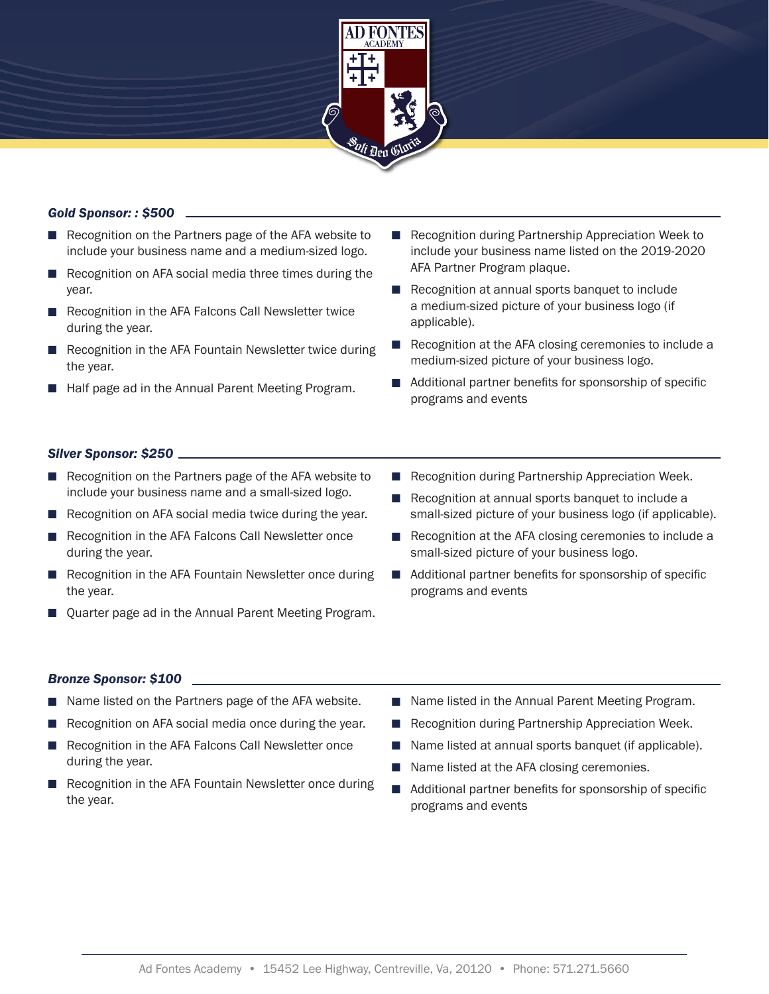

# *Gold Sponsor: : \$500*

- $\blacksquare$  Recognition on the Partners page of the AFA website to include your business name and a medium-sized logo.
- Recognition on AFA social media three times during the year.
- Recognition in the AFA Falcons Call Newsletter twice during the year.
- $\blacksquare$  Recognition in the AFA Fountain Newsletter twice during the year.
- Half page ad in the Annual Parent Meeting Program.
- Recognition during Partnership Appreciation Week to include your business name listed on the 2019-2020 AFA Partner Program plaque.
- $\blacksquare$  Recognition at annual sports banquet to include a medium-sized picture of your business logo (if applicable).
- Recognition at the AFA closing ceremonies to include a medium-sized picture of your business logo.
- $\blacksquare$  Additional partner benefits for sponsorship of specific programs and events

# *Silver Sponsor: \$250*

- $\blacksquare$  Recognition on the Partners page of the AFA website to include your business name and a small-sized logo.
- $\blacksquare$  Recognition on AFA social media twice during the year.
- Recognition in the AFA Falcons Call Newsletter once during the year.
- $\blacksquare$  Recognition in the AFA Fountain Newsletter once during the year.
- Quarter page ad in the Annual Parent Meeting Program.

# *Bronze Sponsor: \$100*

- Name listed on the Partners page of the AFA website.
- Recognition on AFA social media once during the year.
- Recognition in the AFA Falcons Call Newsletter once during the year.
- Recognition in the AFA Fountain Newsletter once during the year.
- Recognition during Partnership Appreciation Week.
- $\blacksquare$  Recognition at annual sports banquet to include a small-sized picture of your business logo (if applicable).
- $\blacksquare$  Recognition at the AFA closing ceremonies to include a small-sized picture of your business logo.
- $\blacksquare$  Additional partner benefits for sponsorship of specific programs and events
- $\blacksquare$  Name listed in the Annual Parent Meeting Program.
- Recognition during Partnership Appreciation Week.
- Name listed at annual sports banquet (if applicable).
- $\blacksquare$  Name listed at the AFA closing ceremonies.
- $\blacksquare$  Additional partner benefits for sponsorship of specific programs and events